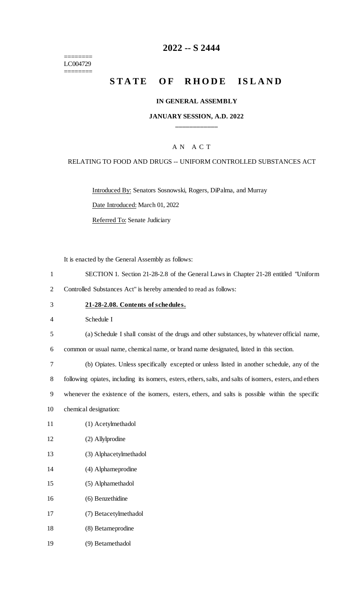======== LC004729 ========

# **-- S 2444**

# **STATE OF RHODE ISLAND**

### **IN GENERAL ASSEMBLY**

### **JANUARY SESSION, A.D. 2022 \_\_\_\_\_\_\_\_\_\_\_\_**

### A N A C T

### RELATING TO FOOD AND DRUGS -- UNIFORM CONTROLLED SUBSTANCES ACT

Introduced By: Senators Sosnowski, Rogers, DiPalma, and Murray

Date Introduced: March 01, 2022

Referred To: Senate Judiciary

It is enacted by the General Assembly as follows:

- SECTION 1. Section 21-28-2.8 of the General Laws in Chapter 21-28 entitled "Uniform
- Controlled Substances Act" is hereby amended to read as follows:
- **21-28-2.08. Contents of schedules.**

Schedule I

(a) Schedule I shall consist of the drugs and other substances, by whatever official name,

common or usual name, chemical name, or brand name designated, listed in this section.

 (b) Opiates. Unless specifically excepted or unless listed in another schedule, any of the following opiates, including its isomers, esters, ethers, salts, and salts of isomers, esters, and ethers whenever the existence of the isomers, esters, ethers, and salts is possible within the specific

- chemical designation:
- (1) Acetylmethadol
- (2) Allylprodine
- (3) Alphacetylmethadol
- (4) Alphameprodine
- (5) Alphamethadol
- (6) Benzethidine
- (7) Betacetylmethadol
- (8) Betameprodine
- (9) Betamethadol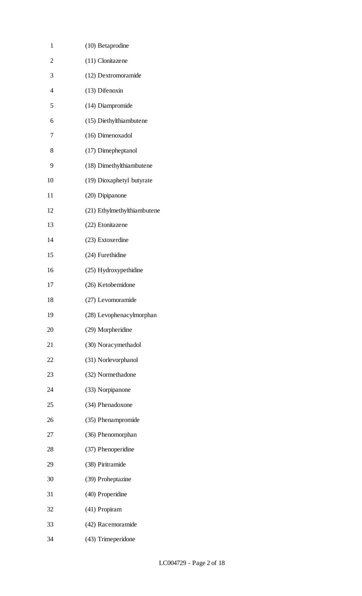| $\mathbf{1}$   | (10) Betaprodine            |
|----------------|-----------------------------|
| $\overline{c}$ | (11) Clonitazene            |
| 3              | (12) Dextromoramide         |
| $\overline{4}$ | (13) Difenoxin              |
| 5              | (14) Diampromide            |
| 6              | (15) Diethylthiambutene     |
| 7              | (16) Dimenoxadol            |
| 8              | (17) Dimepheptanol          |
| 9              | (18) Dimethylthiambutene    |
| 10             | (19) Dioxaphetyl butyrate   |
| 11             | (20) Dipipanone             |
| 12             | (21) Ethylmethylthiambutene |
| 13             | (22) Etonitazene            |
| 14             | (23) Extoxerdine            |
| 15             | (24) Furethidine            |
| 16             | (25) Hydroxypethidine       |
| 17             | (26) Ketobemidone           |
| 18             | (27) Levomoramide           |
| 19             | (28) Levophenacylmorphan    |
| 20             | (29) Morpheridine           |
| 21             | (30) Noracymethadol         |
| 22             | (31) Norlevorphanol         |
| 23             | (32) Normethadone           |
| 24             | (33) Norpipanone            |
| 25             | (34) Phenadoxone            |
| 26             | (35) Phenampromide          |
| 27             | (36) Phenomorphan           |
| 28             | (37) Phenoperidine          |
| 29             | (38) Piritramide            |
| 30             | (39) Proheptazine           |
| 31             | (40) Properidine            |
| 32             | (41) Propiram               |
| 33             | (42) Racemoramide           |
| 34             | (43) Trimeperidone          |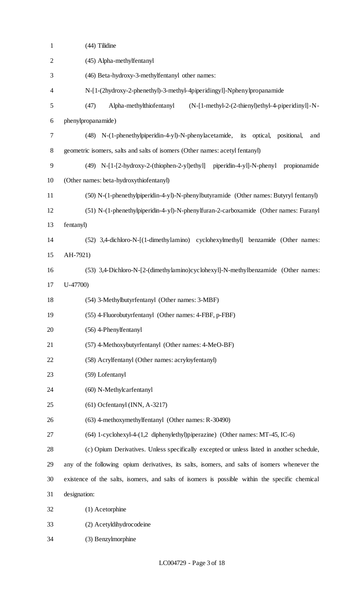| $\mathbf{1}$     | (44) Tilidine                                                                                  |
|------------------|------------------------------------------------------------------------------------------------|
| $\overline{2}$   | (45) Alpha-methylfentanyl                                                                      |
| 3                | (46) Beta-hydroxy-3-methylfentanyl other names:                                                |
| 4                | N-[1-(2hydroxy-2-phenethyl)-3-methyl-4piperidingyl]-Nphenylpropanamide                         |
| 5                | (47)<br>Alpha-methylthiofentanyl<br>$(N-[1-methyl-2-(2-thienyl)ethyl-4-piperidiny]]-N-$        |
| 6                | phenylpropanamide)                                                                             |
| $\boldsymbol{7}$ | (48) N-(1-phenethylpiperidin-4-yl)-N-phenylacetamide, its optical, positional,<br>and          |
| $8\,$            | geometric isomers, salts and salts of isomers (Other names: acetyl fentanyl)                   |
| 9                | (49) N-[1-[2-hydroxy-2-(thiophen-2-yl)ethyl] piperidin-4-yl]-N-phenyl<br>propionamide          |
| 10               | (Other names: beta-hydroxythiofentanyl)                                                        |
| 11               | (50) N-(1-phenethylpiperidin-4-yl)-N-phenylbutyramide (Other names: Butyryl fentanyl)          |
| 12               | (51) N-(1-phenethylpiperidin-4-yl)-N-phenylfuran-2-carboxamide (Other names: Furanyl           |
| 13               | fentanyl)                                                                                      |
| 14               | (52) 3,4-dichloro-N-[(1-dimethylamino) cyclohexylmethyl] benzamide (Other names:               |
| 15               | AH-7921)                                                                                       |
| 16               | (53) 3,4-Dichloro-N-[2-(dimethylamino)cyclohexyl]-N-methylbenzamide (Other names:              |
| 17               | $U-47700$                                                                                      |
| 18               | (54) 3-Methylbutyrfentanyl (Other names: 3-MBF)                                                |
| 19               | (55) 4-Fluorobutyrfentanyl (Other names: 4-FBF, p-FBF)                                         |
| 20               | (56) 4-Phenylfentanyl                                                                          |
| 21               | (57) 4-Methoxybutyrfentanyl (Other names: 4-MeO-BF)                                            |
| 22               | (58) Acrylfentanyl (Other names: acryloyfentanyl)                                              |
| 23               | (59) Lofentanyl                                                                                |
| 24               | (60) N-Methylcarfentanyl                                                                       |
| 25               | $(61)$ Ocfentanyl (INN, A-3217)                                                                |
| 26               | (63) 4-methoxymethylfentanyl (Other names: R-30490)                                            |
| 27               | (64) 1-cyclohexyl-4-(1,2 diphenylethyl)piperazine) (Other names: MT-45, IC-6)                  |
| 28               | (c) Opium Derivatives. Unless specifically excepted or unless listed in another schedule,      |
| 29               | any of the following opium derivatives, its salts, isomers, and salts of isomers whenever the  |
| 30               | existence of the salts, isomers, and salts of isomers is possible within the specific chemical |
| 31               | designation:                                                                                   |
| 32               | (1) Acetorphine                                                                                |
| 33               | (2) Acetyldihydrocodeine                                                                       |
| 34               | (3) Benzylmorphine                                                                             |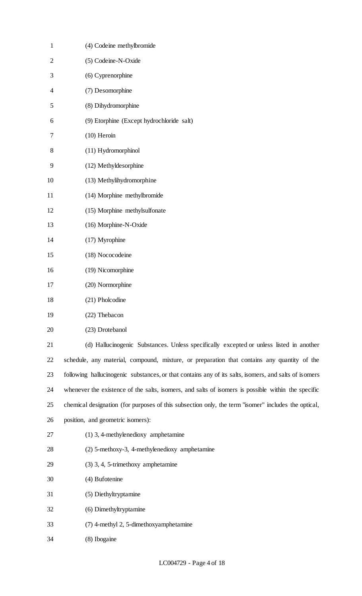| $\mathbf{1}$   | (4) Codeine methylbromide                                                                             |
|----------------|-------------------------------------------------------------------------------------------------------|
| $\overline{2}$ | (5) Codeine-N-Oxide                                                                                   |
| 3              | (6) Cyprenorphine                                                                                     |
| 4              | (7) Desomorphine                                                                                      |
| 5              | (8) Dihydromorphine                                                                                   |
| 6              | (9) Etorphine (Except hydrochloride salt)                                                             |
| 7              | $(10)$ Heroin                                                                                         |
| 8              | (11) Hydromorphinol                                                                                   |
| 9              | (12) Methyldesorphine                                                                                 |
| 10             | (13) Methylihydromorphine                                                                             |
| 11             | (14) Morphine methylbromide                                                                           |
| 12             | (15) Morphine methylsulfonate                                                                         |
| 13             | (16) Morphine-N-Oxide                                                                                 |
| 14             | (17) Myrophine                                                                                        |
| 15             | (18) Nococodeine                                                                                      |
| 16             | (19) Nicomorphine                                                                                     |
| 17             | (20) Normorphine                                                                                      |
| 18             | (21) Pholcodine                                                                                       |
| 19             | (22) Thebacon                                                                                         |
| 20             | (23) Drotebanol                                                                                       |
| 21             | (d) Hallucinogenic Substances. Unless specifically excepted or unless listed in another               |
| 22             | schedule, any material, compound, mixture, or preparation that contains any quantity of the           |
| 23             | following hallucinogenic substances, or that contains any of its salts, isomers, and salts of isomers |
| 24             | whenever the existence of the salts, isomers, and salts of isomers is possible within the specific    |
| 25             | chemical designation (for purposes of this subsection only, the term "isomer" includes the optical,   |
| 26             | position, and geometric isomers):                                                                     |
| 27             | $(1)$ 3, 4-methylenedioxy amphetamine                                                                 |
| 28             | (2) 5-methoxy-3, 4-methylenedioxy amphetamine                                                         |
| 29             | $(3)$ 3, 4, 5-trimethoxy amphetamine                                                                  |
| 30             | (4) Bufotenine                                                                                        |
| 31             | (5) Diethyltryptamine                                                                                 |
| 32             | (6) Dimethyltryptamine                                                                                |
| 33             | (7) 4-methyl 2, 5-dimethoxyamphetamine                                                                |
| 34             | (8) Ibogaine                                                                                          |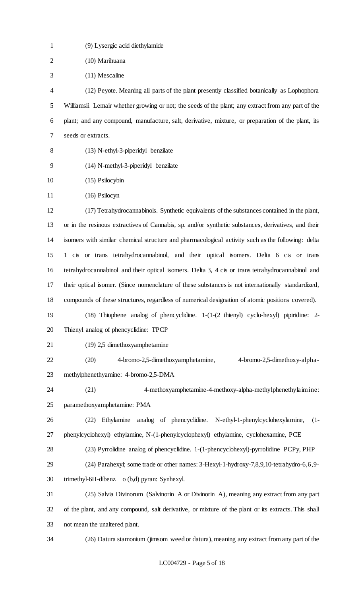| $\mathbf{1}$   | (9) Lysergic acid diethylamide                                                                       |
|----------------|------------------------------------------------------------------------------------------------------|
| $\overline{2}$ | (10) Marihuana                                                                                       |
| 3              | (11) Mescaline                                                                                       |
| 4              | (12) Peyote. Meaning all parts of the plant presently classified botanically as Lophophora           |
| 5              | Williamsii Lemair whether growing or not; the seeds of the plant; any extract from any part of the   |
| 6              | plant; and any compound, manufacture, salt, derivative, mixture, or preparation of the plant, its    |
| 7              | seeds or extracts.                                                                                   |
| 8              | (13) N-ethyl-3-piperidyl benzilate                                                                   |
| 9              | (14) N-methyl-3-piperidyl benzilate                                                                  |
| 10             | (15) Psilocybin                                                                                      |
| 11             | $(16)$ Psilocyn                                                                                      |
| 12             | (17) Tetrahydrocannabinols. Synthetic equivalents of the substances contained in the plant,          |
| 13             | or in the resinous extractives of Cannabis, sp. and/or synthetic substances, derivatives, and their  |
| 14             | isomers with similar chemical structure and pharmacological activity such as the following: delta    |
| 15             | 1 cis or trans tetrahydrocannabinol, and their optical isomers. Delta 6 cis or trans                 |
| 16             | tetrahydrocannabinol and their optical isomers. Delta 3, 4 cis or trans tetrahydrocannabinol and     |
| 17             | their optical isomer. (Since nomenclature of these substances is not internationally standardized,   |
| 18             | compounds of these structures, regardless of numerical designation of atomic positions covered).     |
| 19             | (18) Thiophene analog of phencyclidine. 1-(1-(2 thienyl) cyclo-hexyl) pipiridine: 2-                 |
| 20             | Thienyl analog of phencyclidine: TPCP                                                                |
| 21             | (19) 2,5 dimethoxyamphetamine                                                                        |
| 22             | 4-bromo-2,5-dimethoxyamphetamine,<br>(20)<br>4-bromo-2,5-dimethoxy-alpha-                            |
| 23             | methylphenethyamine: 4-bromo-2,5-DMA                                                                 |
| 24             | (21)<br>4-methoxyamphetamine-4-methoxy-alpha-methylphenethylaimine:                                  |
| 25             | paramethoxyamphetamine: PMA                                                                          |
| 26             | Ethylamine<br>analog of phencyclidine. N-ethyl-1-phenylcyclohexylamine,<br>(22)<br>$(1 -$            |
| 27             | phenylcyclohexyl) ethylamine, N-(1-phenylcyclophexyl) ethylamine, cyclohexamine, PCE                 |
| 28             | (23) Pyrrolidine analog of phencyclidine. 1-(1-phencyclohexyl)-pyrrolidine PCPy, PHP                 |
| 29             | (24) Parahexyl; some trade or other names: 3-Hexyl-1-hydroxy-7,8,9,10-tetrahydro-6,6,9-              |
| 30             | trimethyl-6H-dibenz o (b,d) pyran: Synhexyl.                                                         |
| 31             | (25) Salvia Divinorum (Salvinorin A or Divinorin A), meaning any extract from any part               |
| 32             | of the plant, and any compound, salt derivative, or mixture of the plant or its extracts. This shall |
| 33             | not mean the unaltered plant.                                                                        |
| 34             | (26) Datura stamonium (jimsom weed or datura), meaning any extract from any part of the              |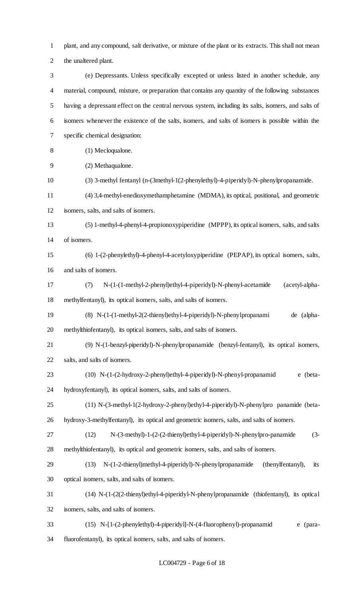plant, and any compound, salt derivative, or mixture of the plant or its extracts. This shall not mean the unaltered plant.

 (e) Depressants. Unless specifically excepted or unless listed in another schedule, any material, compound, mixture, or preparation that contains any quantity of the following substances having a depressant effect on the central nervous system, including its salts, isomers, and salts of isomers whenever the existence of the salts, isomers, and salts of isomers is possible within the specific chemical designation:

- (1) Mecloqualone.
- (2) Methaqualone.
- (3) 3-methyl fentanyl (n-(3methyl-1(2-phenylethyl)-4-piperidyl)-N-phenylpropanamide.
- (4) 3,4-methyl-enedioxymethamphetamine (MDMA), its optical, positional, and geometric
- isomers, salts, and salts of isomers.
- (5) 1-methyl-4-phenyl-4-propionoxypiperidine (MPPP), its optical isomers, salts, and salts of isomers.
- (6) 1-(2-phenylethyl)-4-phenyl-4-acetyloxypiperidine (PEPAP), its optical isomers, salts, and salts of isomers.
- (7) N-(1-(1-methyl-2-phenyl)ethyl-4-piperidyl)-N-phenyl-acetamide (acetyl-alpha-methylfentanyl), its optical isomers, salts, and salts of isomers.
- (8) N-(1-(1-methyl-2(2-thienyl)ethyl-4-piperidyl)-N-phenylpropanami de (alpha-methylthiofentanyl), its optical isomers, salts, and salts of isomers.
- (9) N-(1-benzyl-piperidyl)-N-phenylpropanamide (benzyl-fentanyl), its optical isomers, salts, and salts of isomers.
- (10) N-(1-(2-hydroxy-2-phenyl)ethyl-4-piperidyl)-N-phenyl-propanamid e (beta-hydroxyfentanyl), its optical isomers, salts, and salts of isomers.
- (11) N-(3-methyl-1(2-hydroxy-2-phenyl)ethyl-4-piperidyl)-N-phenylpro panamide (beta-hydroxy-3-methylfentanyl), its optical and geometric isomers, salts, and salts of isomers.
- (12) N-(3-methyl)-1-(2-(2-thienyl)ethyl-4-piperidyl)-N-phenylpro-panamide (3- methylthiofentanyl), its optical and geometric isomers, salts, and salts of isomers.
- (13) N-(1-2-thienyl)methyl-4-piperidyl)-N-phenylpropanamide (thenylfentanyl), its optical isomers, salts, and salts of isomers.
- (14) N-(1-(2(2-thienyl)ethyl-4-piperidyl-N-phenylpropanamide (thiofentanyl), its optical isomers, salts, and salts of isomers.
- (15) N-[1-(2-phenylethyl)-4-piperidyl]-N-(4-fluorophenyl)-propanamid e (para-fluorofentanyl), its optical isomers, salts, and salts of isomers.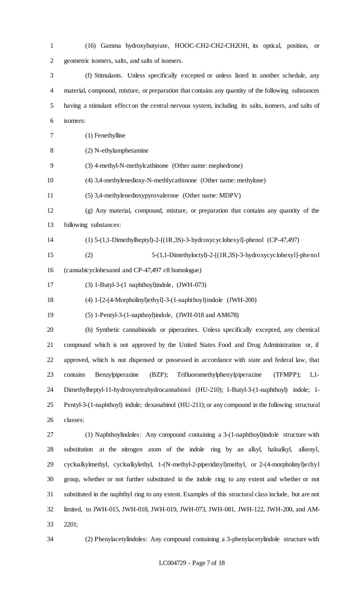(16) Gamma hydroxybutyrate, HOOC-CH2-CH2-CH2OH, its optical, position, or geometric isomers, salts, and salts of isomers. (f) Stimulants. Unless specifically excepted or unless listed in another schedule, any material, compound, mixture, or preparation that contains any quantity of the following substances having a stimulant effect on the central nervous system, including its salts, isomers, and salts of isomers: (1) Fenethylline (2) N-ethylamphetamine (3) 4-methyl-N-methylcathinone (Other name: mephedrone) (4) 3,4-methylenedioxy-N-methlycathinone (Other name: methylone) (5) 3,4-methylenedioxypyrovalerone (Other name: MDPV) (g) Any material, compound, mixture, or preparation that contains any quantity of the following substances: (1) 5-(1,1-Dimethylheptyl)-2-[(1R,3S)-3-hydroxycyclohexyl]-phenol (CP-47,497) (2) 5-(1,1-Dimethyloctyl)-2-[(1R,3S)-3-hydroxycyclohexyl]-phenol (cannabicyclohexanol and CP-47,497 c8 homologue) (3) 1-Butyl-3-(1 naphthoyl)indole, (JWH-073) (4) 1-[2-(4-Morpholinyl)ethyl]-3-(1-naphthoyl)indole (JWH-200) (5) 1-Pentyl-3-(1-napthoyl)indole, (JWH-018 and AM678) (h) Synthetic cannabinoids or piperazines. Unless specifically excepted, any chemical compound which is not approved by the United States Food and Drug Administration or, if approved, which is not dispensed or possessed in accordance with state and federal law, that contains Benzylpiperazine (BZP); Trifluoromethylphenylpiperazine (TFMPP); 1,1- Dimethylheptyl-11-hydroxytetrahydrocannabinol (HU-210); 1-Butyl-3-(1-naphthoyl) indole; 1- Pentyl-3-(1-naphthoyl) indole; dexanabinol (HU-211); or any compound in the following structural classes: (1) Naphthoylindoles: Any compound containing a 3-(1-naphthoyl)indole structure with substitution at the nitrogen atom of the indole ring by an alkyl, haloalkyl, alkenyl, cycloalkylmethyl, cycloalkylethyl, 1-(N-methyl-2-piperidinyl)methyl, or 2-(4-morpholinyl)ethyl group, whether or not further substituted in the indole ring to any extent and whether or not substituted in the naphthyl ring to any extent. Examples of this structural class include, but are not limited, to JWH-015, JWH-018, JWH-019, JWH-073, JWH-081, JWH-122, JWH-200, and AM-

- 2201;
- 

(2) Phenylacetylindoles: Any compound containing a 3-phenylacetylindole structure with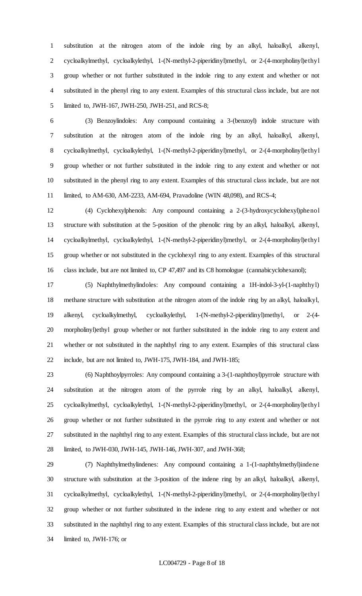substitution at the nitrogen atom of the indole ring by an alkyl, haloalkyl, alkenyl, cycloalkylmethyl, cycloalkylethyl, 1-(N-methyl-2-piperidinyl)methyl, or 2-(4-morpholinyl)ethyl group whether or not further substituted in the indole ring to any extent and whether or not substituted in the phenyl ring to any extent. Examples of this structural class include, but are not limited to, JWH-167, JWH-250, JWH-251, and RCS-8;

 (3) Benzoylindoles: Any compound containing a 3-(benzoyl) indole structure with substitution at the nitrogen atom of the indole ring by an alkyl, haloalkyl, alkenyl, cycloalkylmethyl, cycloalkylethyl, 1-(N-methyl-2-piperidinyl)methyl, or 2-(4-morpholinyl)ethyl group whether or not further substituted in the indole ring to any extent and whether or not substituted in the phenyl ring to any extent. Examples of this structural class include, but are not limited, to AM-630, AM-2233, AM-694, Pravadoline (WIN 48,098), and RCS-4;

 (4) Cyclohexylphenols: Any compound containing a 2-(3-hydroxycyclohexyl)phenol structure with substitution at the 5-position of the phenolic ring by an alkyl, haloalkyl, alkenyl, cycloalkylmethyl, cycloalkylethyl, 1-(N-methyl-2-piperidinyl)methyl, or 2-(4-morpholinyl)ethyl group whether or not substituted in the cyclohexyl ring to any extent. Examples of this structural class include, but are not limited to, CP 47,497 and its C8 homologue (cannabicyclohexanol);

 (5) Naphthylmethylindoles: Any compound containing a 1H-indol-3-yl-(1-naphthyl) methane structure with substitution at the nitrogen atom of the indole ring by an alkyl, haloalkyl, alkenyl, cycloalkylmethyl, cycloalkylethyl, 1-(N-methyl-2-piperidinyl)methyl, or 2-(4- morpholinyl)ethyl group whether or not further substituted in the indole ring to any extent and whether or not substituted in the naphthyl ring to any extent. Examples of this structural class include, but are not limited to, JWH-175, JWH-184, and JWH-185;

 (6) Naphthoylpyrroles: Any compound containing a 3-(1-naphthoyl)pyrrole structure with substitution at the nitrogen atom of the pyrrole ring by an alkyl, haloalkyl, alkenyl, cycloalkylmethyl, cycloalkylethyl, 1-(N-methyl-2-piperidinyl)methyl, or 2-(4-morpholinyl)ethyl group whether or not further substituted in the pyrrole ring to any extent and whether or not substituted in the naphthyl ring to any extent. Examples of this structural class include, but are not limited, to JWH-030, JWH-145, JWH-146, JWH-307, and JWH-368;

 (7) Naphthylmethylindenes: Any compound containing a 1-(1-naphthylmethyl)indene structure with substitution at the 3-position of the indene ring by an alkyl, haloalkyl, alkenyl, cycloalkylmethyl, cycloalkylethyl, 1-(N-methyl-2-piperidinyl)methyl, or 2-(4-morpholinyl)ethyl group whether or not further substituted in the indene ring to any extent and whether or not substituted in the naphthyl ring to any extent. Examples of this structural class include, but are not limited to, JWH-176; or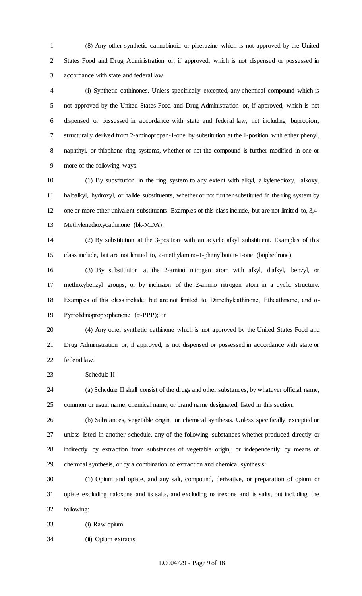(8) Any other synthetic cannabinoid or piperazine which is not approved by the United States Food and Drug Administration or, if approved, which is not dispensed or possessed in accordance with state and federal law.

 (i) Synthetic cathinones. Unless specifically excepted, any chemical compound which is not approved by the United States Food and Drug Administration or, if approved, which is not dispensed or possessed in accordance with state and federal law, not including bupropion, structurally derived from 2-aminopropan-1-one by substitution at the 1-position with either phenyl, naphthyl, or thiophene ring systems, whether or not the compound is further modified in one or more of the following ways:

 (1) By substitution in the ring system to any extent with alkyl, alkylenedioxy, alkoxy, haloalkyl, hydroxyl, or halide substituents, whether or not further substituted in the ring system by one or more other univalent substituents. Examples of this class include, but are not limited to, 3,4- Methylenedioxycathinone (bk-MDA);

 (2) By substitution at the 3-position with an acyclic alkyl substituent. Examples of this class include, but are not limited to, 2-methylamino-1-phenylbutan-1-one (buphedrone);

 (3) By substitution at the 2-amino nitrogen atom with alkyl, dialkyl, benzyl, or methoxybenzyl groups, or by inclusion of the 2-amino nitrogen atom in a cyclic structure. Examples of this class include, but are not limited to, Dimethylcathinone, Ethcathinone, and α-Pyrrolidinopropiophenone (α-PPP); or

 (4) Any other synthetic cathinone which is not approved by the United States Food and Drug Administration or, if approved, is not dispensed or possessed in accordance with state or federal law.

Schedule II

 (a) Schedule II shall consist of the drugs and other substances, by whatever official name, common or usual name, chemical name, or brand name designated, listed in this section.

 (b) Substances, vegetable origin, or chemical synthesis. Unless specifically excepted or unless listed in another schedule, any of the following substances whether produced directly or indirectly by extraction from substances of vegetable origin, or independently by means of chemical synthesis, or by a combination of extraction and chemical synthesis:

 (1) Opium and opiate, and any salt, compound, derivative, or preparation of opium or opiate excluding naloxone and its salts, and excluding naltrexone and its salts, but including the following:

(i) Raw opium

(ii) Opium extracts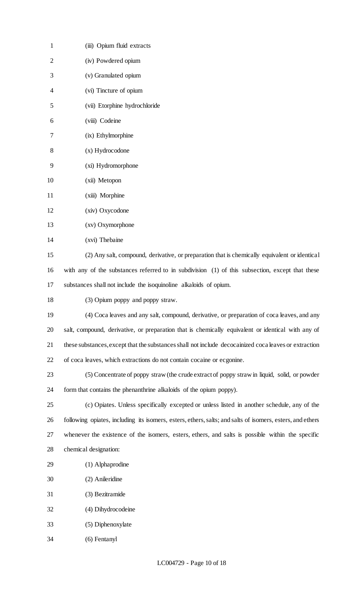| $\mathbf{1}$ | (iii) Opium fluid extracts                                                                                |
|--------------|-----------------------------------------------------------------------------------------------------------|
| 2            | (iv) Powdered opium                                                                                       |
| 3            | (v) Granulated opium                                                                                      |
| 4            | (vi) Tincture of opium                                                                                    |
| 5            | (vii) Etorphine hydrochloride                                                                             |
| 6            | (viii) Codeine                                                                                            |
| 7            | (ix) Ethylmorphine                                                                                        |
| 8            | (x) Hydrocodone                                                                                           |
| 9            | (xi) Hydromorphone                                                                                        |
| 10           | (xii) Metopon                                                                                             |
| 11           | (xiii) Morphine                                                                                           |
| 12           | (xiv) Oxycodone                                                                                           |
| 13           | (xv) Oxymorphone                                                                                          |
| 14           | (xvi) Thebaine                                                                                            |
| 15           | (2) Any salt, compound, derivative, or preparation that is chemically equivalent or identical             |
| 16           | with any of the substances referred to in subdivision (1) of this subsection, except that these           |
| 17           | substances shall not include the isoquinoline alkaloids of opium.                                         |
| 18           | (3) Opium poppy and poppy straw.                                                                          |
| 19           | (4) Coca leaves and any salt, compound, derivative, or preparation of coca leaves, and any                |
| 20           | salt, compound, derivative, or preparation that is chemically equivalent or identical with any of         |
| 21           | these substances, except that the substances shall not include decocainized coca leaves or extraction     |
| 22           | of coca leaves, which extractions do not contain cocaine or ecgonine.                                     |
| 23           | (5) Concentrate of poppy straw (the crude extract of poppy straw in liquid, solid, or powder              |
| 24           | form that contains the phenanthrine alkaloids of the opium poppy).                                        |
| 25           | (c) Opiates. Unless specifically excepted or unless listed in another schedule, any of the                |
| 26           | following opiates, including its isomers, esters, ethers, salts; and salts of isomers, esters, and ethers |
| 27           | whenever the existence of the isomers, esters, ethers, and salts is possible within the specific          |
| 28           | chemical designation:                                                                                     |
| 29           | (1) Alphaprodine                                                                                          |
| 30           | (2) Anileridine                                                                                           |
| 31           | (3) Bezitramide                                                                                           |
| 32           | (4) Dihydrocodeine                                                                                        |
| 33           | (5) Diphenoxylate                                                                                         |
| 34           | (6) Fentanyl                                                                                              |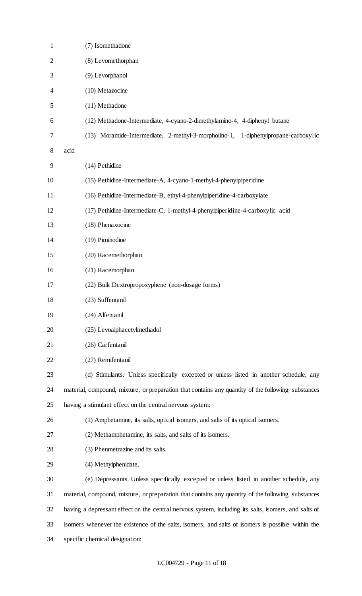| $\mathbf{1}$   | (7) Isomethadone                                                                                     |
|----------------|------------------------------------------------------------------------------------------------------|
| $\overline{2}$ | (8) Levomethorphan                                                                                   |
| 3              | (9) Levorphanol                                                                                      |
| 4              | (10) Metazocine                                                                                      |
| 5              | (11) Methadone                                                                                       |
| 6              | (12) Methadone-Intermediate, 4-cyano-2-dimethylamino-4, 4-diphenyl butane                            |
| 7              | (13) Moramide-Intermediate, 2-methyl-3-morpholino-1, 1-diphenylpropane-carboxylic                    |
| 8              | acid                                                                                                 |
| 9              | (14) Pethidine                                                                                       |
| 10             | (15) Pethidine-Intermediate-A, 4-cyano-1-methyl-4-phenylpiperidine                                   |
| 11             | (16) Pethidine-Intermediate-B, ethyl-4-phenylpiperidine-4-carboxylate                                |
| 12             | (17) Pethidine-Intermediate-C, 1-methyl-4-phenylpiperidine-4-carboxylic acid                         |
| 13             | (18) Phenaxocine                                                                                     |
| 14             | (19) Piminodine                                                                                      |
| 15             | (20) Racemethorphan                                                                                  |
| 16             | (21) Racemorphan                                                                                     |
| 17             | (22) Bulk Dextropropoxyphene (non-dosage forms)                                                      |
| 18             | (23) Suffentanil                                                                                     |
| 19             | (24) Alfentanil                                                                                      |
| 20             | (25) Levoalphacetylmethadol                                                                          |
| 21             | (26) Carfentanil                                                                                     |
| 22             | (27) Remifentanil                                                                                    |
| 23             | (d) Stimulants. Unless specifically excepted or unless listed in another schedule, any               |
| 24             | material, compound, mixture, or preparation that contains any quantity of the following substances   |
| 25             | having a stimulant effect on the central nervous system:                                             |
| 26             | (1) Amphetamine, its salts, optical isomers, and salts of its optical isomers.                       |
| 27             | (2) Methamphetamine, its salts, and salts of its isomers.                                            |
| 28             | (3) Phenmetrazine and its salts.                                                                     |
| 29             | (4) Methylphenidate.                                                                                 |
| 30             | (e) Depressants. Unless specifically excepted or unless listed in another schedule, any              |
| 31             | material, compound, mixture, or preparation that contains any quantity of the following substances   |
| 32             | having a depressant effect on the central nervous system, including its salts, isomers, and salts of |
| 33             | isomers whenever the existence of the salts, isomers, and salts of isomers is possible within the    |
| 34             | specific chemical designation:                                                                       |
|                |                                                                                                      |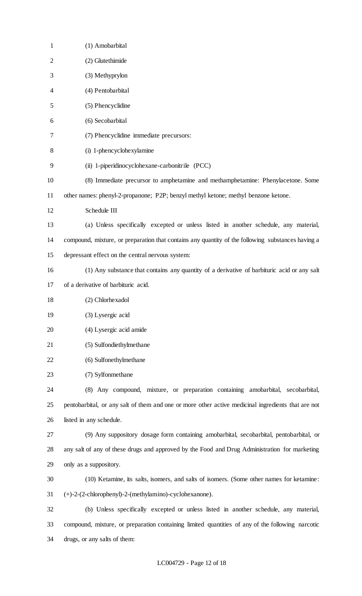| $\mathbf{1}$   | (1) Amobarbital                                                                                    |
|----------------|----------------------------------------------------------------------------------------------------|
| $\overline{c}$ | (2) Glutethimide                                                                                   |
| 3              | (3) Methyprylon                                                                                    |
| 4              | (4) Pentobarbital                                                                                  |
| 5              | (5) Phencyclidine                                                                                  |
| 6              | (6) Secobarbital                                                                                   |
| 7              | (7) Phencyclidine immediate precursors:                                                            |
| 8              | (i) 1-phencyclohexylamine                                                                          |
| 9              | (ii) 1-piperidinocyclohexane-carbonitrile (PCC)                                                    |
| 10             | (8) Immediate precursor to amphetamine and methamphetamine: Phenylacetone. Some                    |
| 11             | other names: phenyl-2-propanone; P2P; benzyl methyl ketone; methyl benzone ketone.                 |
| 12             | Schedule III                                                                                       |
| 13             | (a) Unless specifically excepted or unless listed in another schedule, any material,               |
| 14             | compound, mixture, or preparation that contains any quantity of the following substances having a  |
| 15             | depressant effect on the central nervous system:                                                   |
| 16             | (1) Any substance that contains any quantity of a derivative of barbituric acid or any salt        |
| 17             | of a derivative of barbituric acid.                                                                |
| 18             | (2) Chlorhexadol                                                                                   |
| 19             | (3) Lysergic acid                                                                                  |
| 20             | (4) Lysergic acid amide                                                                            |
| 21             | (5) Sulfondiethylmethane                                                                           |
| 22             | (6) Sulfonethylmethane                                                                             |
| 23             | (7) Sylfonmethane                                                                                  |
| 24             | (8) Any compound, mixture, or preparation containing amobarbital, secobarbital,                    |
| 25             | pentobarbital, or any salt of them and one or more other active medicinal ingredients that are not |
| 26             | listed in any schedule.                                                                            |
| 27             | (9) Any suppository dosage form containing amobarbital, secobarbital, pentobarbital, or            |
| 28             | any salt of any of these drugs and approved by the Food and Drug Administration for marketing      |
| 29             | only as a suppository.                                                                             |
| 30             | (10) Ketamine, its salts, isomers, and salts of isomers. (Some other names for ketamine:           |
| 31             | (+)-2-(2-chlorophenyl)-2-(methylamino)-cyclohexanone).                                             |
| 32             | (b) Unless specifically excepted or unless listed in another schedule, any material,               |
| 33             | compound, mixture, or preparation containing limited quantities of any of the following narcotic   |
| 34             | drugs, or any salts of them:                                                                       |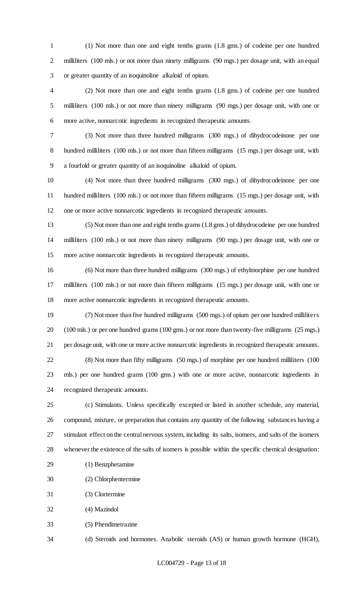(1) Not more than one and eight tenths grams (1.8 gms.) of codeine per one hundred 2 milliliters (100 mls.) or not more than ninety milligrams (90 mgs.) per dosage unit, with an equal or greater quantity of an isoquinoline alkaloid of opium.

 (2) Not more than one and eight tenths grams (1.8 gms.) of codeine per one hundred milliliters (100 mls.) or not more than ninety milligrams (90 mgs.) per dosage unit, with one or more active, nonnarcotic ingredients in recognized therapeutic amounts.

 (3) Not more than three hundred milligrams (300 mgs.) of dihydrocodeinone per one hundred milliliters (100 mls.) or not more than fifteen milligrams (15 mgs.) per dosage unit, with a fourfold or greater quantity of an isoquinoline alkaloid of opium.

 (4) Not more than three hundred milligrams (300 mgs.) of dihydrocodeinone per one hundred milliliters (100 mls.) or not more than fifteen milligrams (15 mgs.) per dosage unit, with one or more active nonnarcotic ingredients in recognized therapeutic amounts.

 (5) Not more than one and eight tenths grams (1.8 gms.) of dihydrocodeine per one hundred milliliters (100 mls.) or not more than ninety milligrams (90 mgs.) per dosage unit, with one or more active nonnarcotic ingredients in recognized therapeutic amounts.

 (6) Not more than three hundred milligrams (300 mgs.) of ethylmorphine per one hundred milliliters (100 mls.) or not more than fifteen milligrams (15 mgs.) per dosage unit, with one or more active nonnarcotic ingredients in recognized therapeutic amounts.

 (7) Not more than five hundred milligrams (500 mgs.) of opium per one hundred milliliters (100 mls.) or per one hundred grams (100 gms.) or not more than twenty-five milligrams (25 mgs.) per dosage unit, with one or more active nonnarcotic ingredients in recognized therapeutic amounts. (8) Not more than fifty milligrams (50 mgs.) of morphine per one hundred milliliters (100 mls.) per one hundred grams (100 gms.) with one or more active, nonnarcotic ingredients in recognized therapeutic amounts.

 (c) Stimulants. Unless specifically excepted or listed in another schedule, any material, compound, mixture, or preparation that contains any quantity of the following substances having a stimulant effect on the central nervous system, including its salts, isomers, and salts of the isomers whenever the existence of the salts of isomers is possible within the specific chemical designation:

- (1) Benzphetamine
- (2) Chlorphentermine
- (3) Clortermine
- (4) Mazindol
- (5) Phendimetrazine

(d) Steroids and hormones. Anabolic steroids (AS) or human growth hormone (HGH),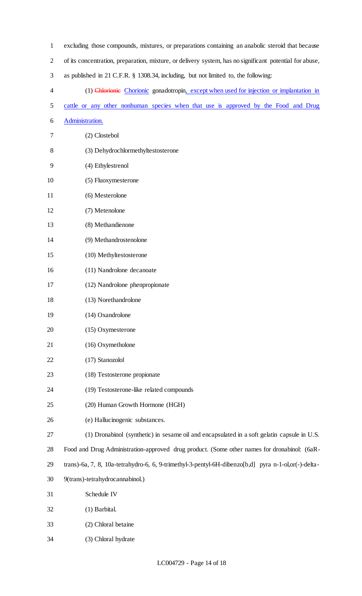| $\mathbf{1}$   | excluding those compounds, mixtures, or preparations containing an anabolic steroid that because        |
|----------------|---------------------------------------------------------------------------------------------------------|
| $\overline{2}$ | of its concentration, preparation, mixture, or delivery system, has no significant potential for abuse, |
| 3              | as published in 21 C.F.R. § 1308.34, including, but not limited to, the following:                      |
| 4              | (1) Chlorionic Chorionic gonadotropin, except when used for injection or implantation in                |
| 5              | cattle or any other nonhuman species when that use is approved by the Food and Drug                     |
| 6              | Administration.                                                                                         |
| 7              | (2) Clostebol                                                                                           |
| 8              | (3) Dehydrochlormethyltestosterone                                                                      |
| 9              | (4) Ethylestrenol                                                                                       |
| 10             | (5) Fluoxymesterone                                                                                     |
| 11             | (6) Mesterolone                                                                                         |
| 12             | (7) Metenolone                                                                                          |
| 13             | (8) Methandienone                                                                                       |
| 14             | (9) Methandrostenolone                                                                                  |
| 15             | (10) Methyltestosterone                                                                                 |
| 16             | (11) Nandrolone decanoate                                                                               |
| 17             | (12) Nandrolone phenpropionate                                                                          |
| 18             | (13) Norethandrolone                                                                                    |
| 19             | (14) Oxandrolone                                                                                        |
| 20             | (15) Oxymesterone                                                                                       |
| 21             | (16) Oxymetholone                                                                                       |
| 22             | (17) Stanozolol                                                                                         |
| 23             | (18) Testosterone propionate                                                                            |
| 24             | (19) Testosterone-like related compounds                                                                |
| 25             | (20) Human Growth Hormone (HGH)                                                                         |
| 26             | (e) Hallucinogenic substances.                                                                          |
| 27             | (1) Dronabinol (synthetic) in sesame oil and encapsulated in a soft gelatin capsule in U.S.             |
| 28             | Food and Drug Administration-approved drug product. (Some other names for dronabinol: (6aR-             |
| 29             | trans)-6a, 7, 8, 10a-tetrahydro-6, 6, 9-trimethyl-3-pentyl-6H-dibenzo[b,d] pyra n-1-ol,or(-)-delta-     |
| 30             | 9(trans)-tetrahydrocannabinol.)                                                                         |
| 31             | Schedule IV                                                                                             |
| 32             | (1) Barbital.                                                                                           |
| 33             | (2) Chloral betaine                                                                                     |
| 34             | (3) Chloral hydrate                                                                                     |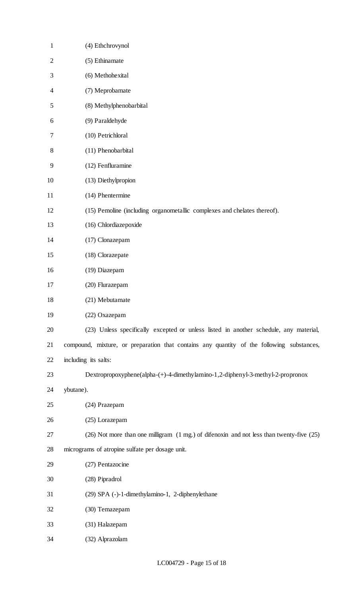| $\mathbf{1}$ | (4) Ethchrovynol                                                                          |
|--------------|-------------------------------------------------------------------------------------------|
| $\mathbf{2}$ | (5) Ethinamate                                                                            |
| 3            | (6) Methohexital                                                                          |
| 4            | (7) Meprobamate                                                                           |
| 5            | (8) Methylphenobarbital                                                                   |
| 6            | (9) Paraldehyde                                                                           |
| 7            | (10) Petrichloral                                                                         |
| $8\,$        | (11) Phenobarbital                                                                        |
| 9            | (12) Fenfluramine                                                                         |
| 10           | (13) Diethylpropion                                                                       |
| 11           | (14) Phentermine                                                                          |
| 12           | (15) Pemoline (including organometallic complexes and chelates thereof).                  |
| 13           | (16) Chlordiazepoxide                                                                     |
| 14           | (17) Clonazepam                                                                           |
| 15           | (18) Clorazepate                                                                          |
| 16           | (19) Diazepam                                                                             |
| 17           | (20) Flurazepam                                                                           |
| 18           | (21) Mebutamate                                                                           |
| 19           | (22) Oxazepam                                                                             |
| 20           | (23) Unless specifically excepted or unless listed in another schedule, any material,     |
| 21           | compound, mixture, or preparation that contains any quantity of the following substances, |
| 22           | including its salts:                                                                      |
| 23           | Dextropropoxyphene(alpha-(+)-4-dimethylamino-1,2-diphenyl-3-methyl-2-propronox            |
| 24           | ybutane).                                                                                 |
| 25           | (24) Prazepam                                                                             |
| 26           | (25) Lorazepam                                                                            |
| 27           | (26) Not more than one milligram (1 mg.) of difenoxin and not less than twenty-five (25)  |
| 28           | micrograms of atropine sulfate per dosage unit.                                           |
| 29           | (27) Pentazocine                                                                          |
| 30           | (28) Pipradrol                                                                            |
| 31           | (29) SPA (-)-1-dimethylamino-1, 2-diphenylethane                                          |
| 32           | (30) Temazepam                                                                            |
| 33           | (31) Halazepam                                                                            |
| 34           | (32) Alprazolam                                                                           |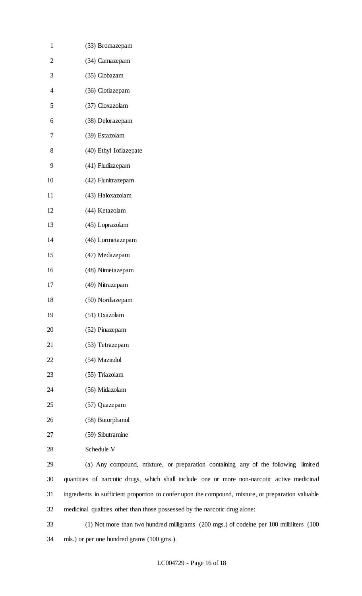| $\mathbf{1}$             | (33) Bromazepam                                                                                    |
|--------------------------|----------------------------------------------------------------------------------------------------|
| $\overline{2}$           | (34) Camazepam                                                                                     |
| 3                        | (35) Clobazam                                                                                      |
| $\overline{\mathcal{A}}$ | (36) Clotiazepam                                                                                   |
| 5                        | (37) Cloxazolam                                                                                    |
| 6                        | (38) Delorazepam                                                                                   |
| 7                        | (39) Estazolam                                                                                     |
| 8                        | (40) Ethyl Ioflazepate                                                                             |
| 9                        | (41) Fludizaepam                                                                                   |
| 10                       | (42) Flunitrazepam                                                                                 |
| 11                       | (43) Haloxazolam                                                                                   |
| 12                       | (44) Ketazolam                                                                                     |
| 13                       | (45) Loprazolam                                                                                    |
| 14                       | (46) Lormetazepam                                                                                  |
| 15                       | (47) Medazepam                                                                                     |
| 16                       | (48) Nimetazepam                                                                                   |
| 17                       | (49) Nitrazepam                                                                                    |
| 18                       | (50) Nordiazepam                                                                                   |
| 19                       | (51) Oxazolam                                                                                      |
| 20                       | (52) Pinazepam                                                                                     |
| 21                       | (53) Tetrazepam                                                                                    |
| 22                       | (54) Mazindol                                                                                      |
| 23                       | (55) Triazolam                                                                                     |
| 24                       | (56) Midazolam                                                                                     |
| 25                       | (57) Quazepam                                                                                      |
| 26                       | (58) Butorphanol                                                                                   |
| 27                       | (59) Sibutramine                                                                                   |
| 28                       | Schedule V                                                                                         |
| 29                       | (a) Any compound, mixture, or preparation containing any of the following limited                  |
| 30                       | quantities of narcotic drugs, which shall include one or more non-narcotic active medicinal        |
| 31                       | ingredients in sufficient proportion to confer upon the compound, mixture, or preparation valuable |
| 32                       | medicinal qualities other than those possessed by the narcotic drug alone:                         |

 (1) Not more than two hundred milligrams (200 mgs.) of codeine per 100 milliliters (100 mls.) or per one hundred grams (100 gms.).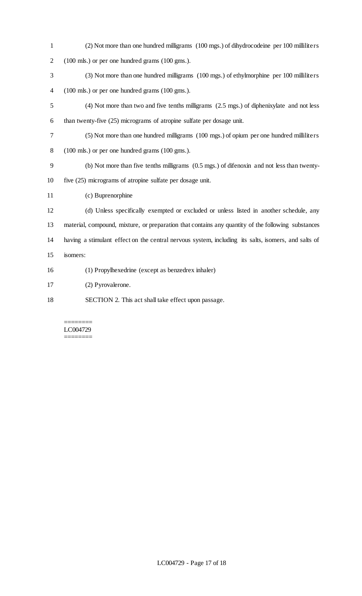| $\mathbf{1}$     | (2) Not more than one hundred milligrams (100 mgs.) of dihydrocodeine per 100 milliliters           |
|------------------|-----------------------------------------------------------------------------------------------------|
| $\mathbf{2}$     | (100 mls.) or per one hundred grams (100 gms.).                                                     |
| $\mathfrak{Z}$   | (3) Not more than one hundred milligrams (100 mgs.) of ethylmorphine per 100 milliliters            |
| $\overline{4}$   | (100 mls.) or per one hundred grams (100 gms.).                                                     |
| $\mathfrak s$    | (4) Not more than two and five tenths milligrams (2.5 mgs.) of diphenixylate and not less           |
| 6                | than twenty-five (25) micrograms of atropine sulfate per dosage unit.                               |
| $\boldsymbol{7}$ | (5) Not more than one hundred milligrams (100 mgs.) of opium per one hundred milliliters            |
| 8                | (100 mls.) or per one hundred grams (100 gms.).                                                     |
| $\overline{9}$   | (b) Not more than five tenths milligrams (0.5 mgs.) of difenoxin and not less than twenty-          |
| 10               | five (25) micrograms of atropine sulfate per dosage unit.                                           |
| 11               | (c) Buprenorphine                                                                                   |
| 12               | (d) Unless specifically exempted or excluded or unless listed in another schedule, any              |
| 13               | material, compound, mixture, or preparation that contains any quantity of the following substances  |
| 14               | having a stimulant effect on the central nervous system, including its salts, isomers, and salts of |
| 15               | isomers:                                                                                            |
| 16               | (1) Propylhexedrine (except as benzedrex inhaler)                                                   |
| 17               | (2) Pyrovalerone.                                                                                   |
| 18               | SECTION 2. This act shall take effect upon passage.                                                 |

#### ======== LC004729  $=$